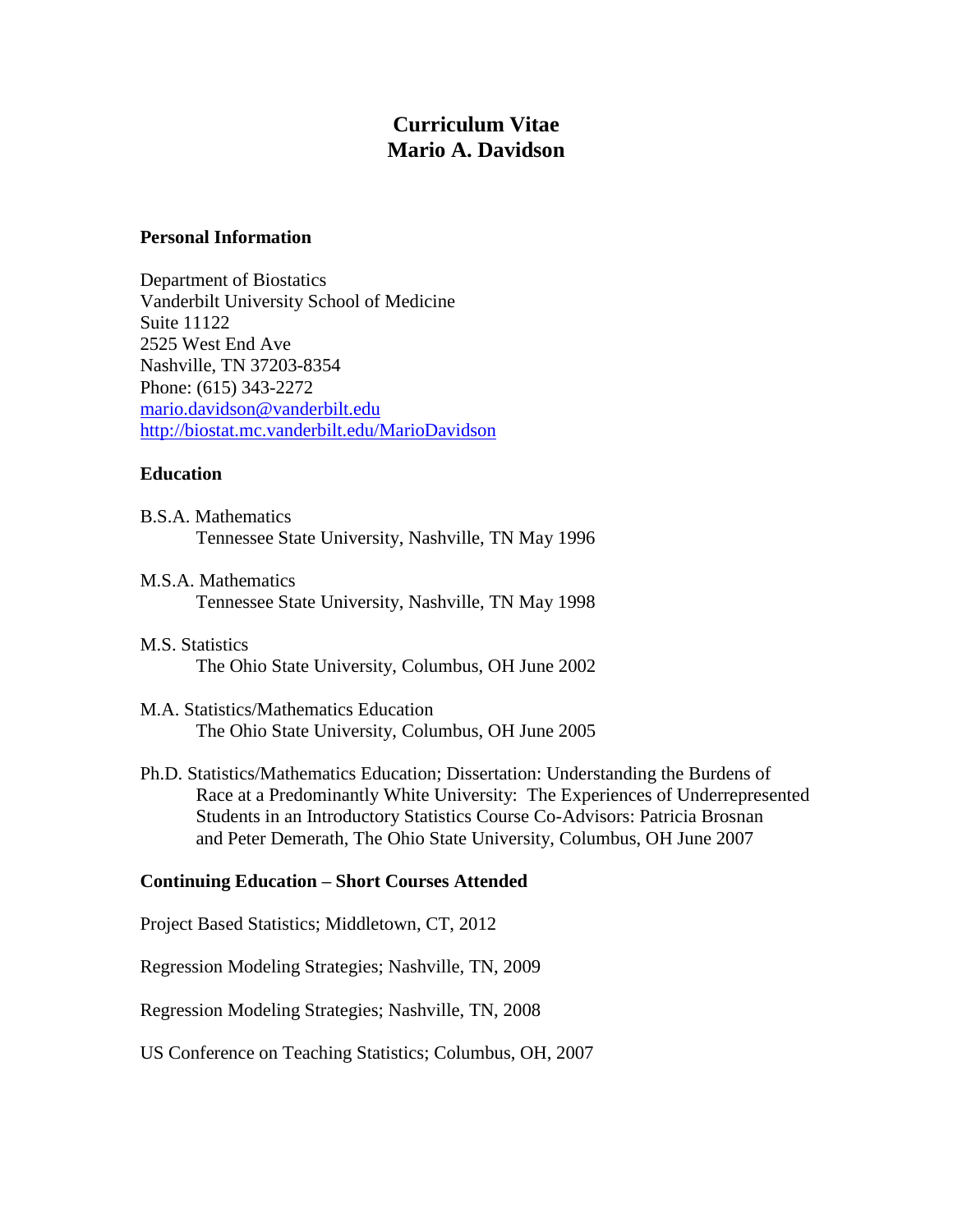# **Curriculum Vitae Mario A. Davidson**

#### **Personal Information**

Department of Biostatics Vanderbilt University School of Medicine Suite 11122 2525 West End Ave Nashville, TN 37203-8354 Phone: (615) 343-2272 [mario.davidson@vanderbilt.edu](mailto:mario.davidson@vanderbilt.edu) <http://biostat.mc.vanderbilt.edu/MarioDavidson>

# **Education**

- B.S.A. Mathematics Tennessee State University, Nashville, TN May 1996
- M.S.A. Mathematics Tennessee State University, Nashville, TN May 1998
- M.S. Statistics The Ohio State University, Columbus, OH June 2002
- M.A. Statistics/Mathematics Education The Ohio State University, Columbus, OH June 2005
- Ph.D. Statistics/Mathematics Education; Dissertation: Understanding the Burdens of Race at a Predominantly White University: The Experiences of Underrepresented Students in an Introductory Statistics Course Co-Advisors: Patricia Brosnan and Peter Demerath, The Ohio State University, Columbus, OH June 2007

# **Continuing Education – Short Courses Attended**

Project Based Statistics; Middletown, CT, 2012

Regression Modeling Strategies; Nashville, TN, 2009

Regression Modeling Strategies; Nashville, TN, 2008

US Conference on Teaching Statistics; Columbus, OH, 2007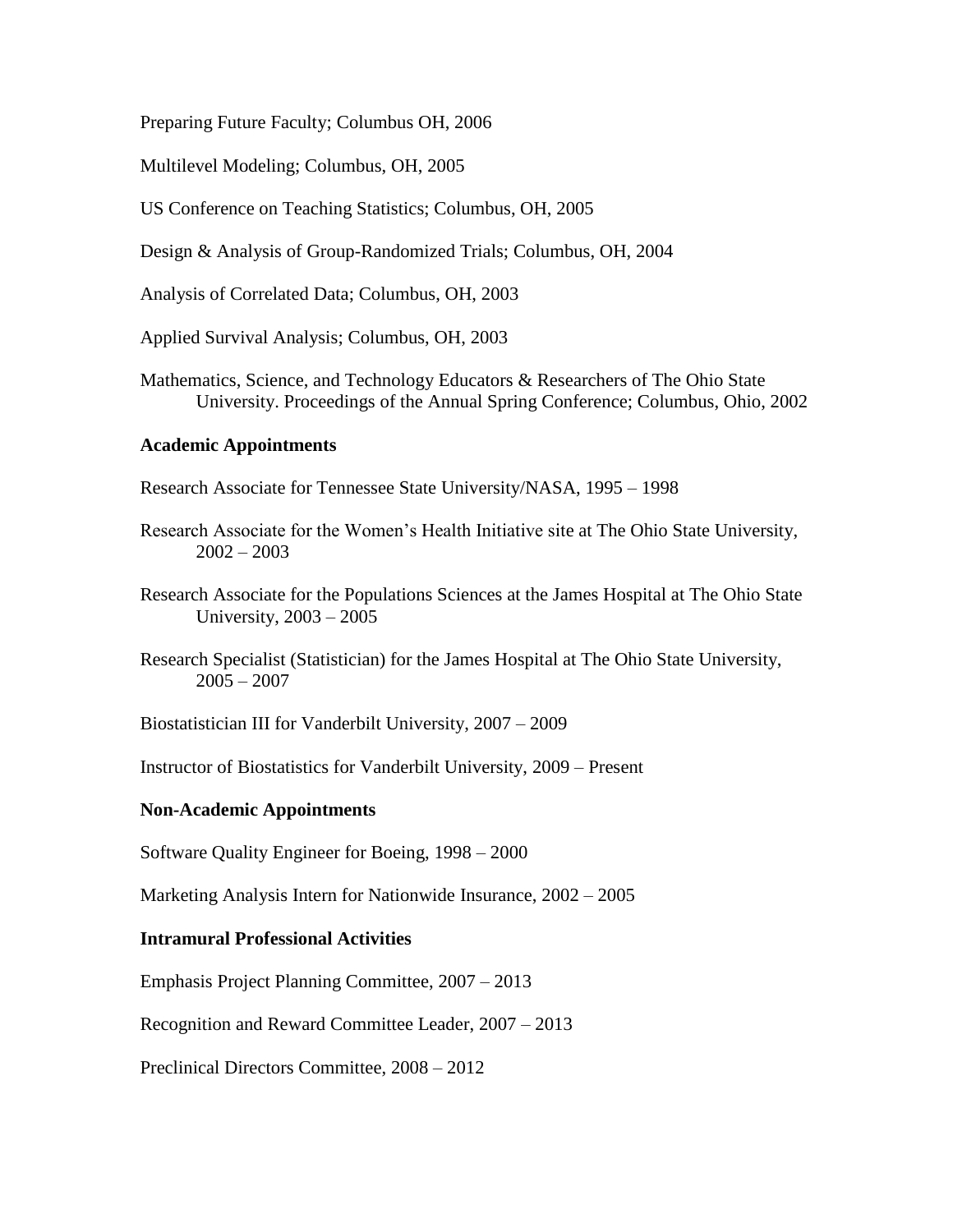Preparing Future Faculty; Columbus OH, 2006

Multilevel Modeling; Columbus, OH, 2005

US Conference on Teaching Statistics; Columbus, OH, 2005

Design & Analysis of Group-Randomized Trials; Columbus, OH, 2004

Analysis of Correlated Data; Columbus, OH, 2003

Applied Survival Analysis; Columbus, OH, 2003

Mathematics, Science, and Technology Educators & Researchers of The Ohio State University. Proceedings of the Annual Spring Conference; Columbus, Ohio, 2002

### **Academic Appointments**

Research Associate for Tennessee State University/NASA, 1995 – 1998

- Research Associate for the Women's Health Initiative site at The Ohio State University,  $2002 - 2003$
- Research Associate for the Populations Sciences at the James Hospital at The Ohio State University, 2003 – 2005

Research Specialist (Statistician) for the James Hospital at The Ohio State University,  $2005 - 2007$ 

Biostatistician III for Vanderbilt University, 2007 – 2009

Instructor of Biostatistics for Vanderbilt University, 2009 – Present

#### **Non-Academic Appointments**

Software Quality Engineer for Boeing, 1998 – 2000

Marketing Analysis Intern for Nationwide Insurance, 2002 – 2005

#### **Intramural Professional Activities**

Emphasis Project Planning Committee, 2007 – 2013

Recognition and Reward Committee Leader, 2007 – 2013

Preclinical Directors Committee, 2008 – 2012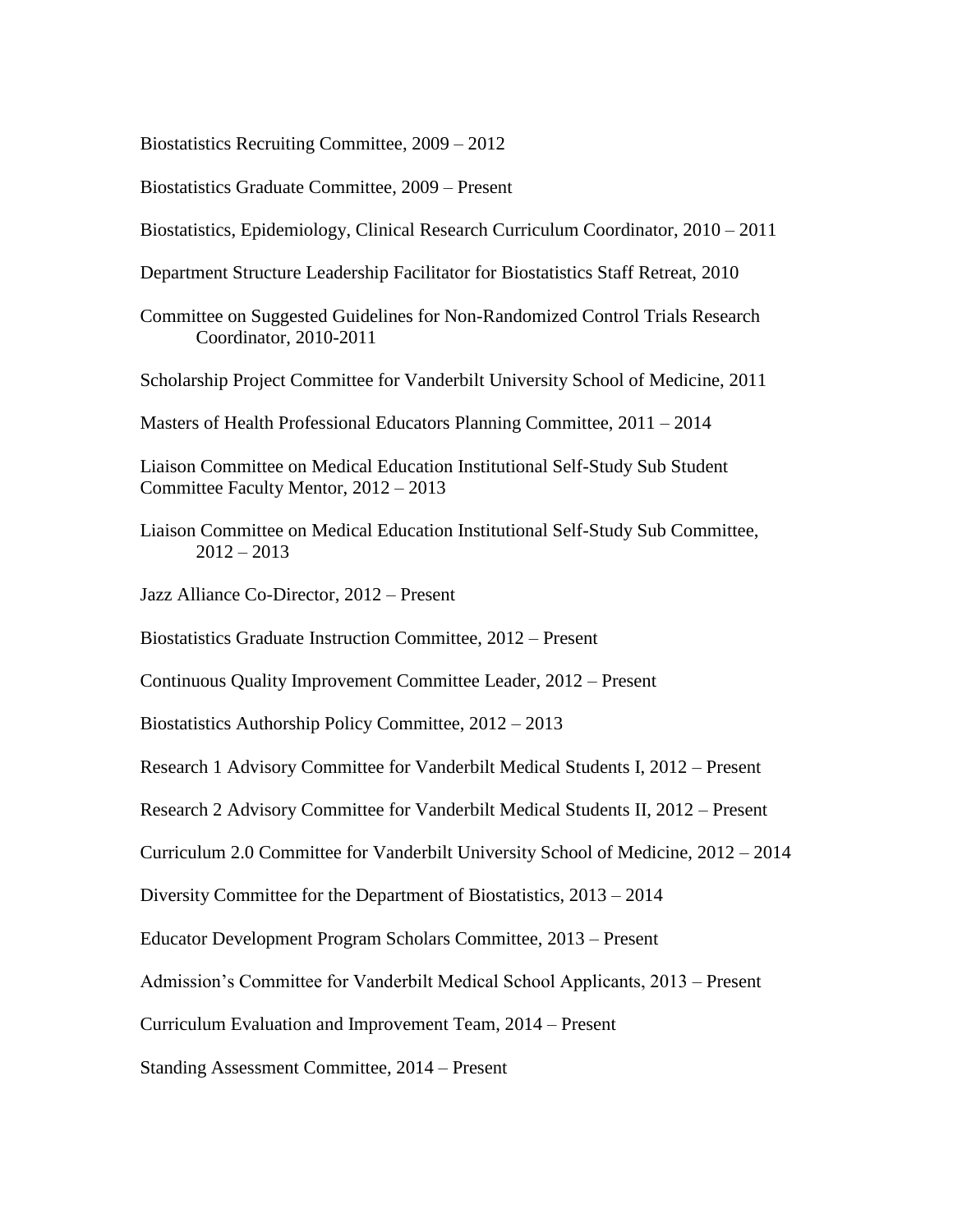Biostatistics Recruiting Committee, 2009 – 2012

Biostatistics Graduate Committee, 2009 – Present

Biostatistics, Epidemiology, Clinical Research Curriculum Coordinator, 2010 – 2011

Department Structure Leadership Facilitator for Biostatistics Staff Retreat, 2010

Committee on Suggested Guidelines for Non-Randomized Control Trials Research Coordinator, 2010-2011

Scholarship Project Committee for Vanderbilt University School of Medicine, 2011

Masters of Health Professional Educators Planning Committee, 2011 – 2014

Liaison Committee on Medical Education Institutional Self-Study Sub Student Committee Faculty Mentor, 2012 – 2013

Liaison Committee on Medical Education Institutional Self-Study Sub Committee,  $2012 - 2013$ 

Jazz Alliance Co-Director, 2012 – Present

Biostatistics Graduate Instruction Committee, 2012 – Present

Continuous Quality Improvement Committee Leader, 2012 – Present

Biostatistics Authorship Policy Committee, 2012 – 2013

Research 1 Advisory Committee for Vanderbilt Medical Students I, 2012 – Present

Research 2 Advisory Committee for Vanderbilt Medical Students II, 2012 – Present

Curriculum 2.0 Committee for Vanderbilt University School of Medicine, 2012 – 2014

Diversity Committee for the Department of Biostatistics, 2013 – 2014

Educator Development Program Scholars Committee, 2013 – Present

Admission's Committee for Vanderbilt Medical School Applicants, 2013 – Present

Curriculum Evaluation and Improvement Team, 2014 – Present

Standing Assessment Committee, 2014 – Present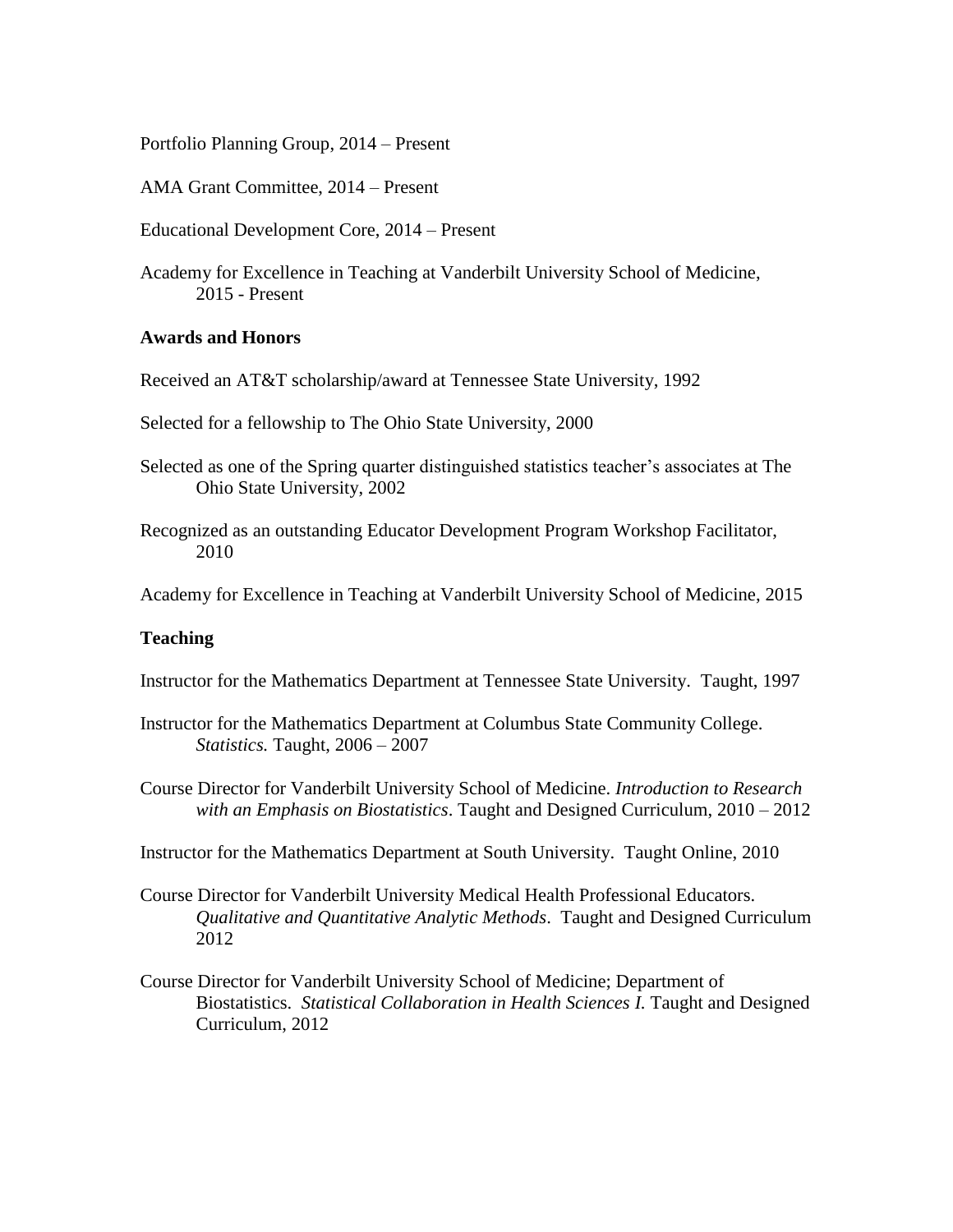Portfolio Planning Group, 2014 – Present

AMA Grant Committee, 2014 – Present

Educational Development Core, 2014 – Present

Academy for Excellence in Teaching at Vanderbilt University School of Medicine, 2015 - Present

#### **Awards and Honors**

Received an AT&T scholarship/award at Tennessee State University, 1992

Selected for a fellowship to The Ohio State University, 2000

- Selected as one of the Spring quarter distinguished statistics teacher's associates at The Ohio State University, 2002
- Recognized as an outstanding Educator Development Program Workshop Facilitator, 2010

Academy for Excellence in Teaching at Vanderbilt University School of Medicine, 2015

# **Teaching**

Instructor for the Mathematics Department at Tennessee State University. Taught, 1997

- Instructor for the Mathematics Department at Columbus State Community College. *Statistics.* Taught, 2006 – 2007
- Course Director for Vanderbilt University School of Medicine. *Introduction to Research with an Emphasis on Biostatistics*. Taught and Designed Curriculum, 2010 – 2012

Instructor for the Mathematics Department at South University. Taught Online, 2010

- Course Director for Vanderbilt University Medical Health Professional Educators. *Qualitative and Quantitative Analytic Methods*. Taught and Designed Curriculum 2012
- Course Director for Vanderbilt University School of Medicine; Department of Biostatistics. *Statistical Collaboration in Health Sciences I.* Taught and Designed Curriculum, 2012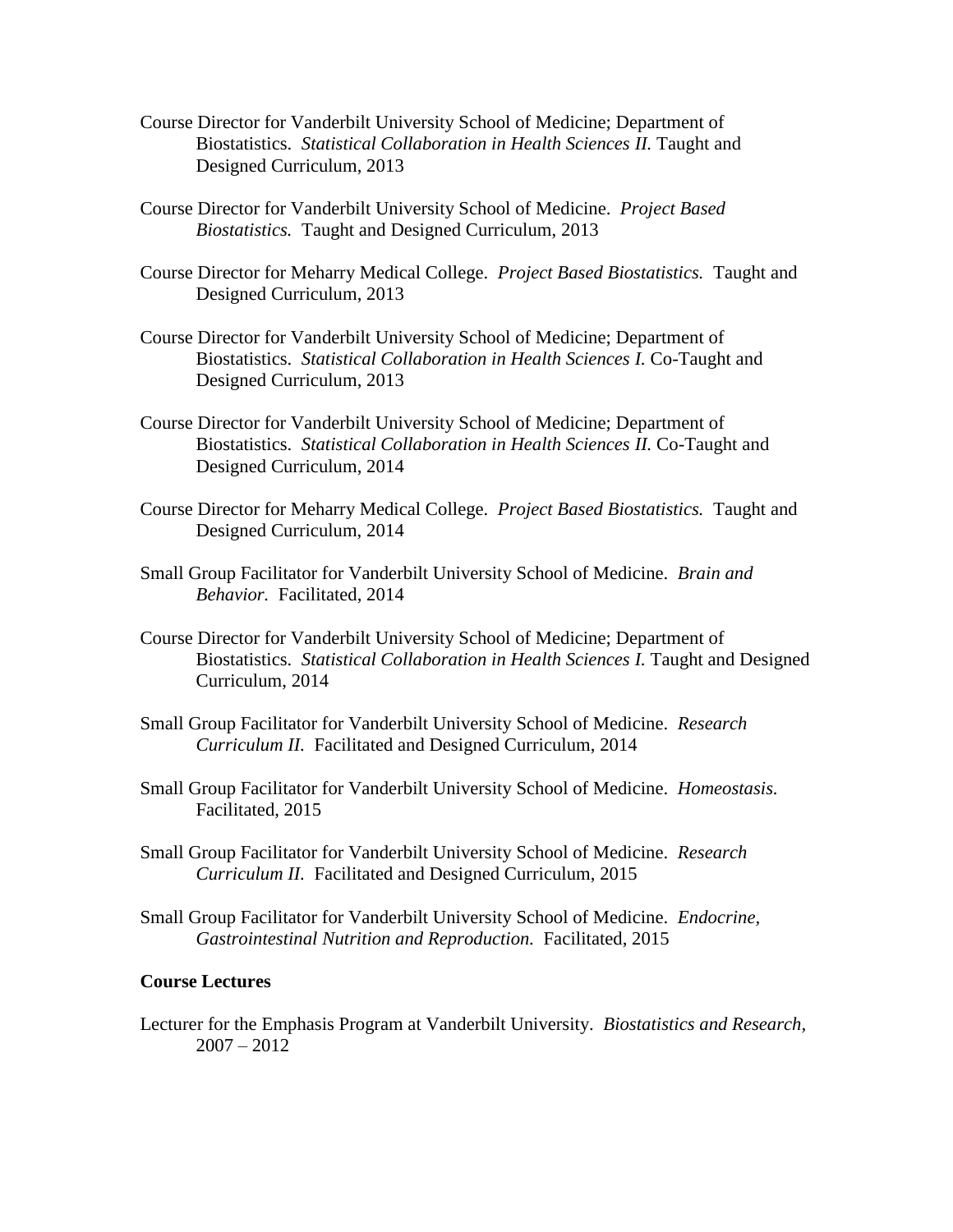- Course Director for Vanderbilt University School of Medicine; Department of Biostatistics. *Statistical Collaboration in Health Sciences II.* Taught and Designed Curriculum, 2013
- Course Director for Vanderbilt University School of Medicine. *Project Based Biostatistics.* Taught and Designed Curriculum, 2013
- Course Director for Meharry Medical College. *Project Based Biostatistics.* Taught and Designed Curriculum, 2013
- Course Director for Vanderbilt University School of Medicine; Department of Biostatistics. *Statistical Collaboration in Health Sciences I.* Co-Taught and Designed Curriculum, 2013
- Course Director for Vanderbilt University School of Medicine; Department of Biostatistics. *Statistical Collaboration in Health Sciences II.* Co-Taught and Designed Curriculum, 2014
- Course Director for Meharry Medical College. *Project Based Biostatistics.* Taught and Designed Curriculum, 2014
- Small Group Facilitator for Vanderbilt University School of Medicine. *Brain and Behavior.* Facilitated, 2014
- Course Director for Vanderbilt University School of Medicine; Department of Biostatistics. *Statistical Collaboration in Health Sciences I.* Taught and Designed Curriculum, 2014
- Small Group Facilitator for Vanderbilt University School of Medicine. *Research Curriculum II.* Facilitated and Designed Curriculum, 2014
- Small Group Facilitator for Vanderbilt University School of Medicine. *Homeostasis.* Facilitated, 2015
- Small Group Facilitator for Vanderbilt University School of Medicine. *Research Curriculum II.* Facilitated and Designed Curriculum, 2015
- Small Group Facilitator for Vanderbilt University School of Medicine. *Endocrine, Gastrointestinal Nutrition and Reproduction.* Facilitated, 2015

#### **Course Lectures**

Lecturer for the Emphasis Program at Vanderbilt University. *Biostatistics and Research,*  $2007 - 2012$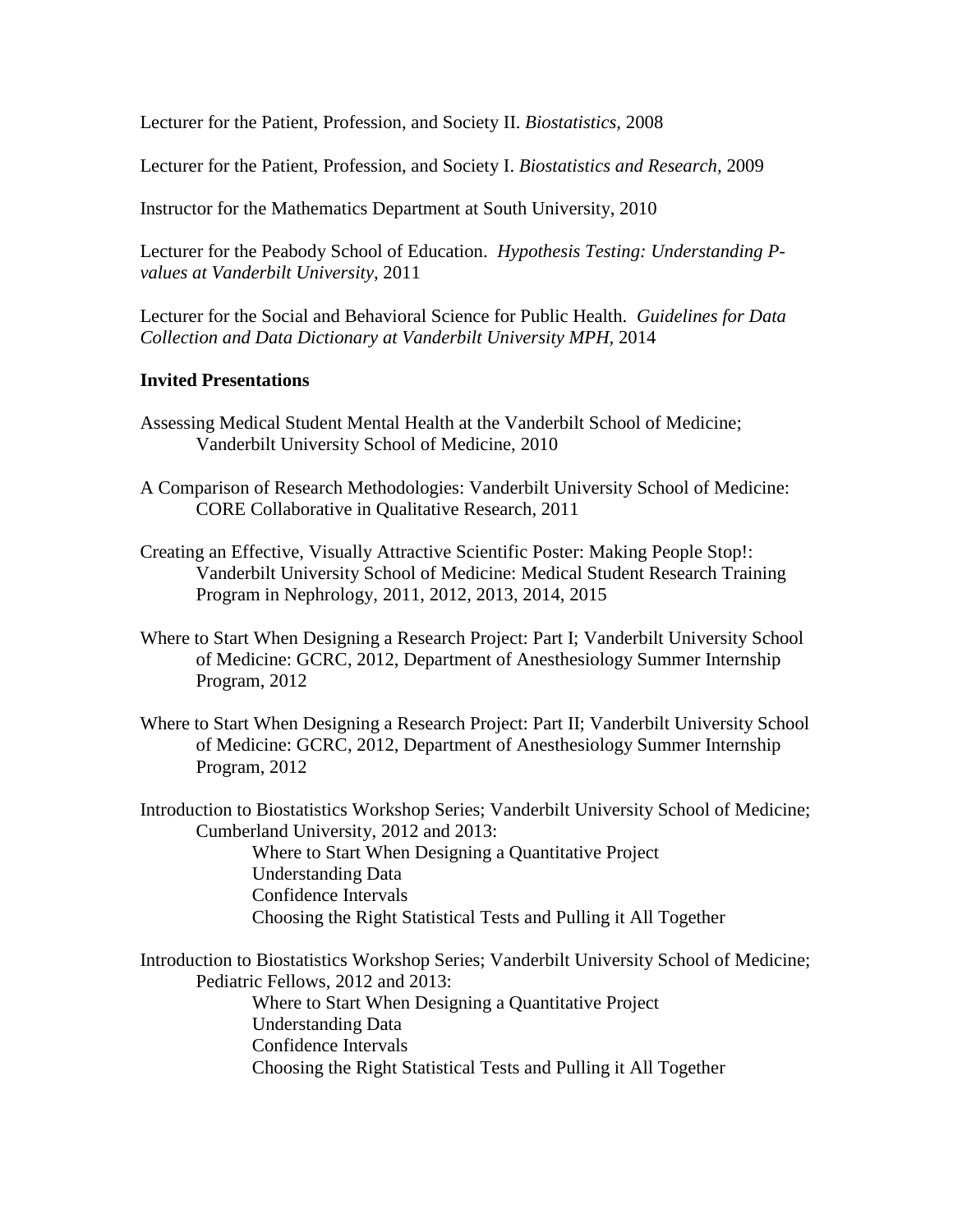Lecturer for the Patient, Profession, and Society II. *Biostatistics,* 2008

Lecturer for the Patient, Profession, and Society I. *Biostatistics and Research,* 2009

Instructor for the Mathematics Department at South University, 2010

Lecturer for the Peabody School of Education. *Hypothesis Testing: Understanding Pvalues at Vanderbilt University*, 2011

Lecturer for the Social and Behavioral Science for Public Health. *Guidelines for Data Collection and Data Dictionary at Vanderbilt University MPH,* 2014

#### **Invited Presentations**

- Assessing Medical Student Mental Health at the Vanderbilt School of Medicine; Vanderbilt University School of Medicine, 2010
- A Comparison of Research Methodologies: Vanderbilt University School of Medicine: CORE Collaborative in Qualitative Research, 2011
- Creating an Effective, Visually Attractive Scientific Poster: Making People Stop!: Vanderbilt University School of Medicine: Medical Student Research Training Program in Nephrology, 2011, 2012, 2013, 2014, 2015
- Where to Start When Designing a Research Project: Part I; Vanderbilt University School of Medicine: GCRC, 2012, Department of Anesthesiology Summer Internship Program, 2012
- Where to Start When Designing a Research Project: Part II; Vanderbilt University School of Medicine: GCRC, 2012, Department of Anesthesiology Summer Internship Program, 2012

Introduction to Biostatistics Workshop Series; Vanderbilt University School of Medicine; Cumberland University, 2012 and 2013:

> Where to Start When Designing a Quantitative Project Understanding Data Confidence Intervals Choosing the Right Statistical Tests and Pulling it All Together

Introduction to Biostatistics Workshop Series; Vanderbilt University School of Medicine; Pediatric Fellows, 2012 and 2013: Where to Start When Designing a Quantitative Project Understanding Data Confidence Intervals Choosing the Right Statistical Tests and Pulling it All Together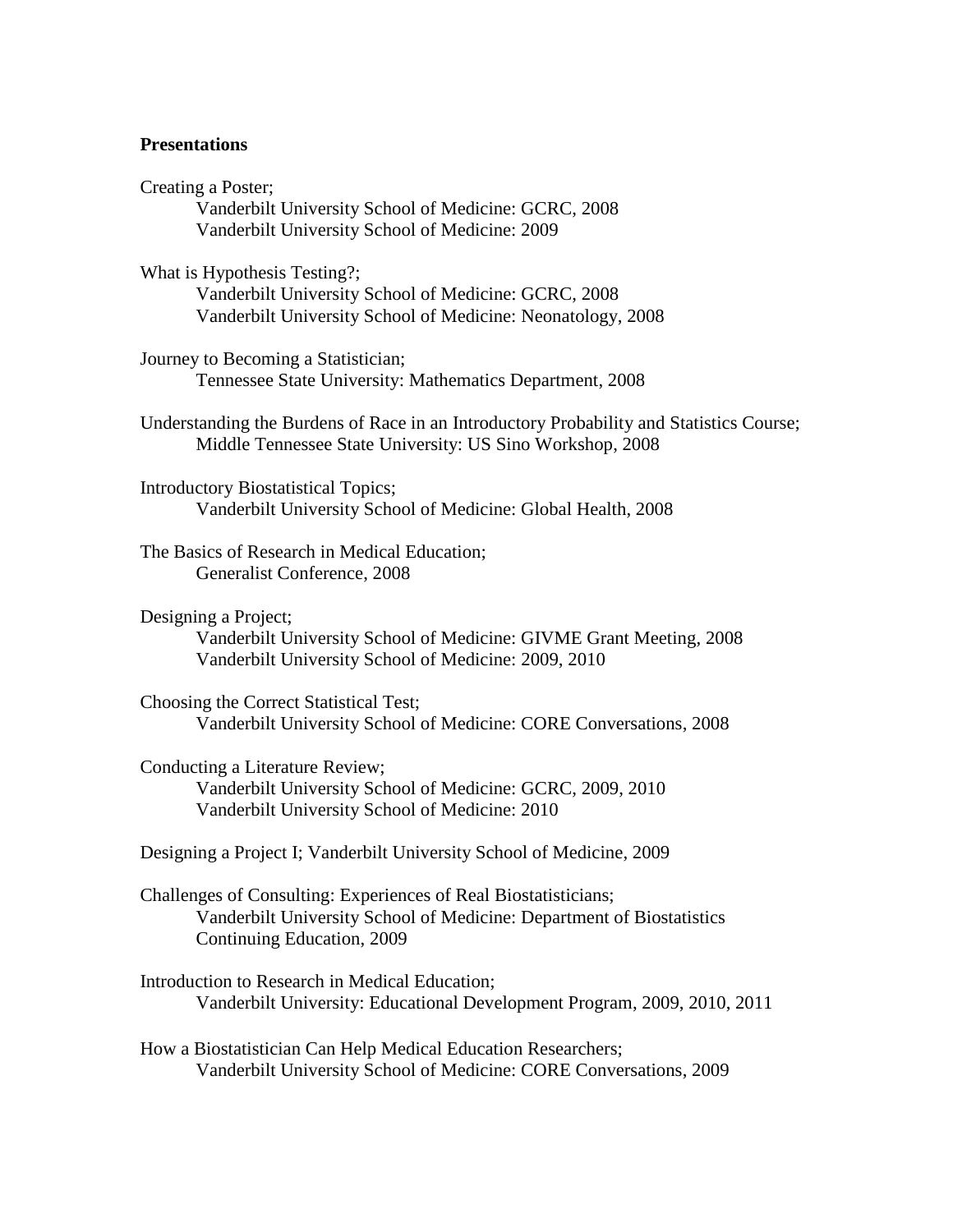#### **Presentations**

Creating a Poster; Vanderbilt University School of Medicine: GCRC, 2008 Vanderbilt University School of Medicine: 2009

What is Hypothesis Testing?; Vanderbilt University School of Medicine: GCRC, 2008 Vanderbilt University School of Medicine: Neonatology, 2008

Journey to Becoming a Statistician; Tennessee State University: Mathematics Department, 2008

Understanding the Burdens of Race in an Introductory Probability and Statistics Course; Middle Tennessee State University: US Sino Workshop, 2008

Introductory Biostatistical Topics; Vanderbilt University School of Medicine: Global Health, 2008

The Basics of Research in Medical Education; Generalist Conference, 2008

Designing a Project; Vanderbilt University School of Medicine: GIVME Grant Meeting, 2008 Vanderbilt University School of Medicine: 2009, 2010

Choosing the Correct Statistical Test; Vanderbilt University School of Medicine: CORE Conversations, 2008

Conducting a Literature Review; Vanderbilt University School of Medicine: GCRC, 2009, 2010 Vanderbilt University School of Medicine: 2010

Designing a Project I; Vanderbilt University School of Medicine, 2009

- Challenges of Consulting: Experiences of Real Biostatisticians; Vanderbilt University School of Medicine: Department of Biostatistics Continuing Education, 2009
- Introduction to Research in Medical Education; Vanderbilt University: Educational Development Program, 2009, 2010, 2011

How a Biostatistician Can Help Medical Education Researchers; Vanderbilt University School of Medicine: CORE Conversations, 2009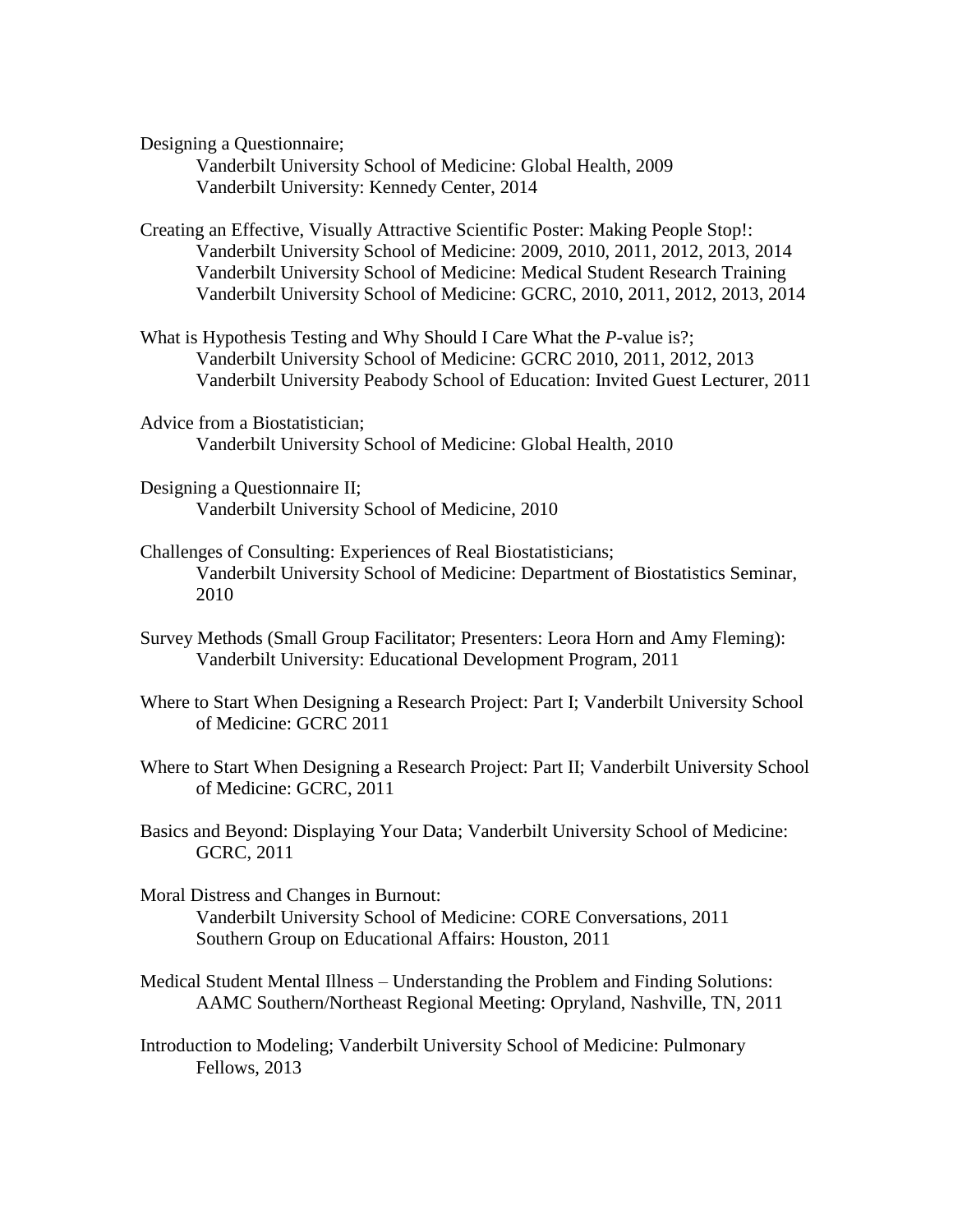Designing a Questionnaire;

Vanderbilt University School of Medicine: Global Health, 2009 Vanderbilt University: Kennedy Center, 2014

Creating an Effective, Visually Attractive Scientific Poster: Making People Stop!: Vanderbilt University School of Medicine: 2009, 2010, 2011, 2012, 2013, 2014 Vanderbilt University School of Medicine: Medical Student Research Training Vanderbilt University School of Medicine: GCRC, 2010, 2011, 2012, 2013, 2014

- What is Hypothesis Testing and Why Should I Care What the *P*-value is?; Vanderbilt University School of Medicine: GCRC 2010, 2011, 2012, 2013 Vanderbilt University Peabody School of Education: Invited Guest Lecturer, 2011
- Advice from a Biostatistician; Vanderbilt University School of Medicine: Global Health, 2010
- Designing a Questionnaire II; Vanderbilt University School of Medicine, 2010
- Challenges of Consulting: Experiences of Real Biostatisticians; Vanderbilt University School of Medicine: Department of Biostatistics Seminar, 2010
- Survey Methods (Small Group Facilitator; Presenters: Leora Horn and Amy Fleming): Vanderbilt University: Educational Development Program, 2011
- Where to Start When Designing a Research Project: Part I; Vanderbilt University School of Medicine: GCRC 2011
- Where to Start When Designing a Research Project: Part II; Vanderbilt University School of Medicine: GCRC, 2011
- Basics and Beyond: Displaying Your Data; Vanderbilt University School of Medicine: GCRC, 2011
- Moral Distress and Changes in Burnout: Vanderbilt University School of Medicine: CORE Conversations, 2011 Southern Group on Educational Affairs: Houston, 2011
- Medical Student Mental Illness Understanding the Problem and Finding Solutions: AAMC Southern/Northeast Regional Meeting: Opryland, Nashville, TN, 2011
- Introduction to Modeling; Vanderbilt University School of Medicine: Pulmonary Fellows, 2013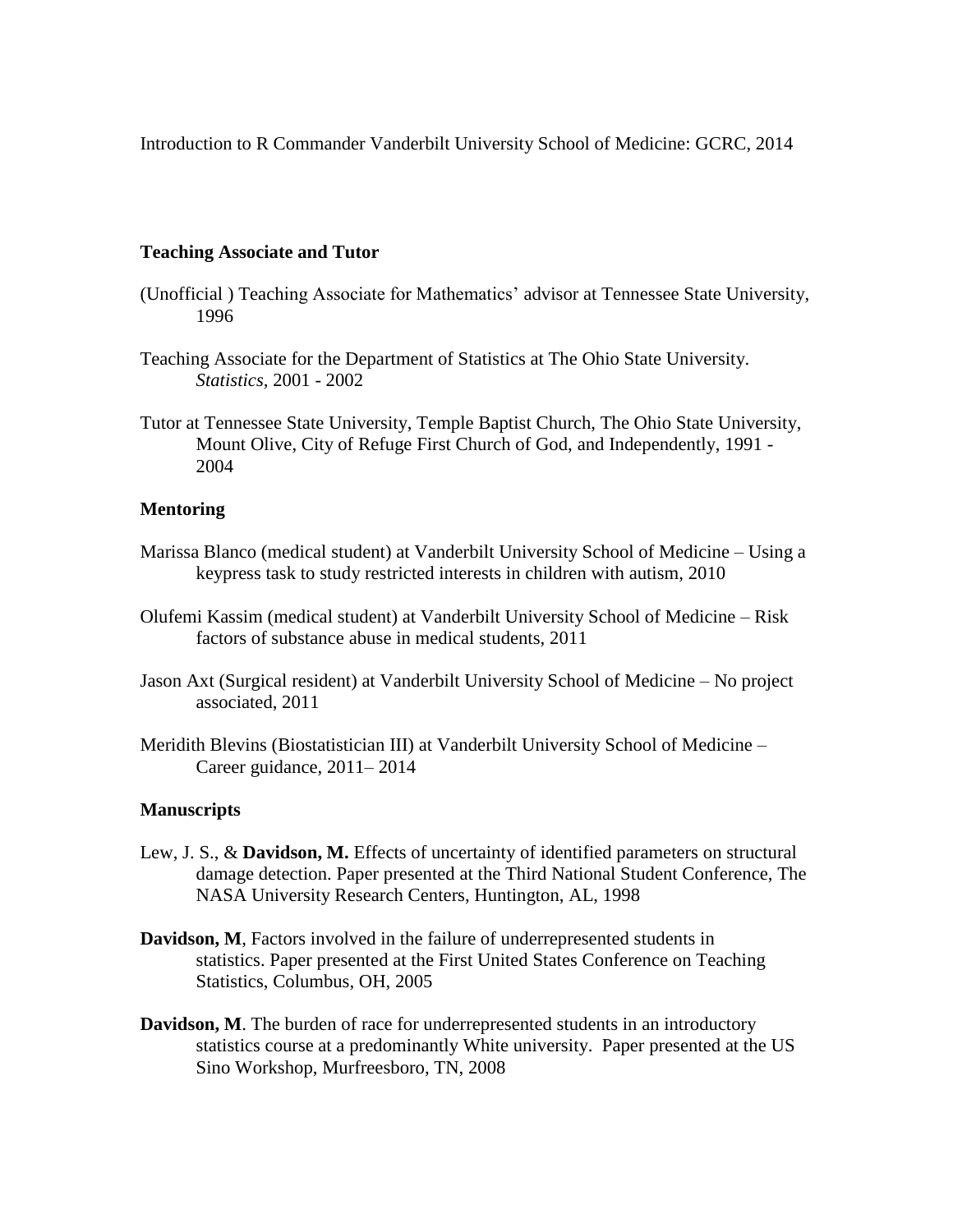Introduction to R Commander Vanderbilt University School of Medicine: GCRC, 2014

#### **Teaching Associate and Tutor**

- (Unofficial ) Teaching Associate for Mathematics' advisor at Tennessee State University, 1996
- Teaching Associate for the Department of Statistics at The Ohio State University. *Statistics,* 2001 - 2002
- Tutor at Tennessee State University, Temple Baptist Church, The Ohio State University, Mount Olive, City of Refuge First Church of God, and Independently, 1991 - 2004

#### **Mentoring**

- Marissa Blanco (medical student) at Vanderbilt University School of Medicine Using a keypress task to study restricted interests in children with autism, 2010
- Olufemi Kassim (medical student) at Vanderbilt University School of Medicine Risk factors of substance abuse in medical students, 2011
- Jason Axt (Surgical resident) at Vanderbilt University School of Medicine No project associated, 2011
- Meridith Blevins (Biostatistician III) at Vanderbilt University School of Medicine Career guidance, 2011– 2014

#### **Manuscripts**

- Lew, J. S., & **Davidson, M.** Effects of uncertainty of identified parameters on structural damage detection. Paper presented at the Third National Student Conference, The NASA University Research Centers, Huntington, AL, 1998
- **Davidson, M**, Factors involved in the failure of underrepresented students in statistics. Paper presented at the First United States Conference on Teaching Statistics, Columbus, OH, 2005
- **Davidson, M**. The burden of race for underrepresented students in an introductory statistics course at a predominantly White university. Paper presented at the US Sino Workshop, Murfreesboro, TN, 2008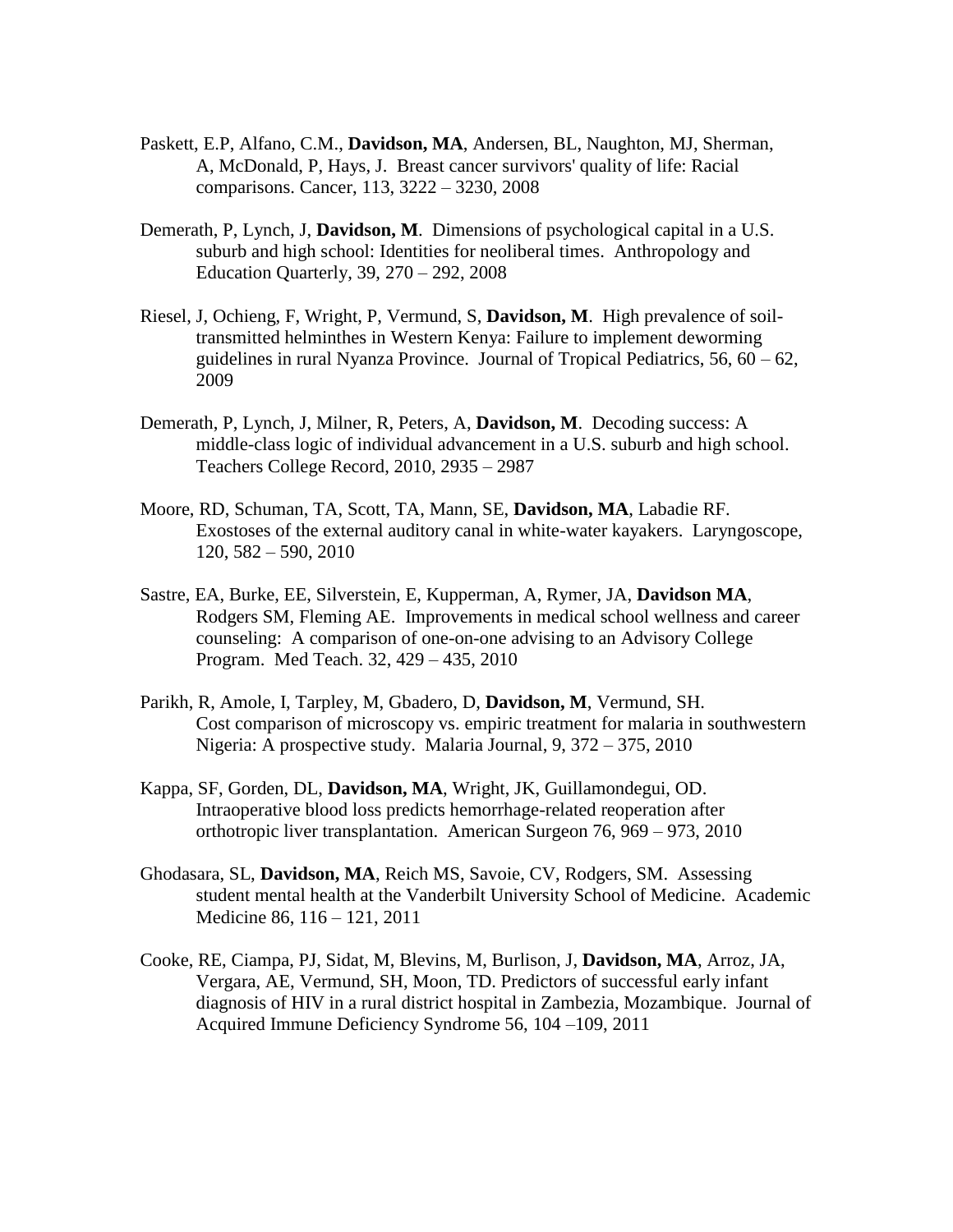- Paskett, E.P, Alfano, C.M., **Davidson, MA**, Andersen, BL, Naughton, MJ, Sherman, A, McDonald, P, Hays, J. Breast cancer survivors' quality of life: Racial comparisons. Cancer, 113, 3222 – 3230, 2008
- Demerath, P, Lynch, J, **Davidson, M**. Dimensions of psychological capital in a U.S. suburb and high school: Identities for neoliberal times. Anthropology and Education Quarterly, 39, 270 – 292, 2008
- Riesel, J, Ochieng, F, Wright, P, Vermund, S, **Davidson, M**. High prevalence of soiltransmitted helminthes in Western Kenya: Failure to implement deworming guidelines in rural Nyanza Province. Journal of Tropical Pediatrics,  $56, 60 - 62$ , 2009
- Demerath, P, Lynch, J, Milner, R, Peters, A, **Davidson, M**. Decoding success: A middle-class logic of individual advancement in a U.S. suburb and high school. Teachers College Record, 2010, 2935 – 2987
- Moore, RD, Schuman, TA, Scott, TA, Mann, SE, **Davidson, MA**, Labadie RF. Exostoses of the external auditory canal in white-water kayakers. Laryngoscope, 120, 582 – 590, 2010
- Sastre, EA, Burke, EE, Silverstein, E, Kupperman, A, Rymer, JA, **Davidson MA**, Rodgers SM, Fleming AE. Improvements in medical school wellness and career counseling: A comparison of one-on-one advising to an Advisory College Program. Med Teach. 32, 429 – 435, 2010
- Parikh, R, Amole, I, Tarpley, M, Gbadero, D, **Davidson, M**, Vermund, SH. Cost comparison of microscopy vs. empiric treatment for malaria in southwestern Nigeria: A prospective study. Malaria Journal, 9, 372 – 375, 2010
- Kappa, SF, Gorden, DL, **Davidson, MA**, Wright, JK, Guillamondegui, OD. Intraoperative blood loss predicts hemorrhage-related reoperation after orthotropic liver transplantation. American Surgeon 76, 969 – 973, 2010
- Ghodasara, SL, **Davidson, MA**, Reich MS, Savoie, CV, Rodgers, SM. Assessing student mental health at the Vanderbilt University School of Medicine. Academic Medicine 86, 116 – 121, 2011
- Cooke, RE, Ciampa, PJ, Sidat, M, Blevins, M, Burlison, J, **Davidson, MA**, Arroz, JA, Vergara, AE, Vermund, SH, Moon, TD. Predictors of successful early infant diagnosis of HIV in a rural district hospital in Zambezia, Mozambique. Journal of Acquired Immune Deficiency Syndrome 56, 104 –109, 2011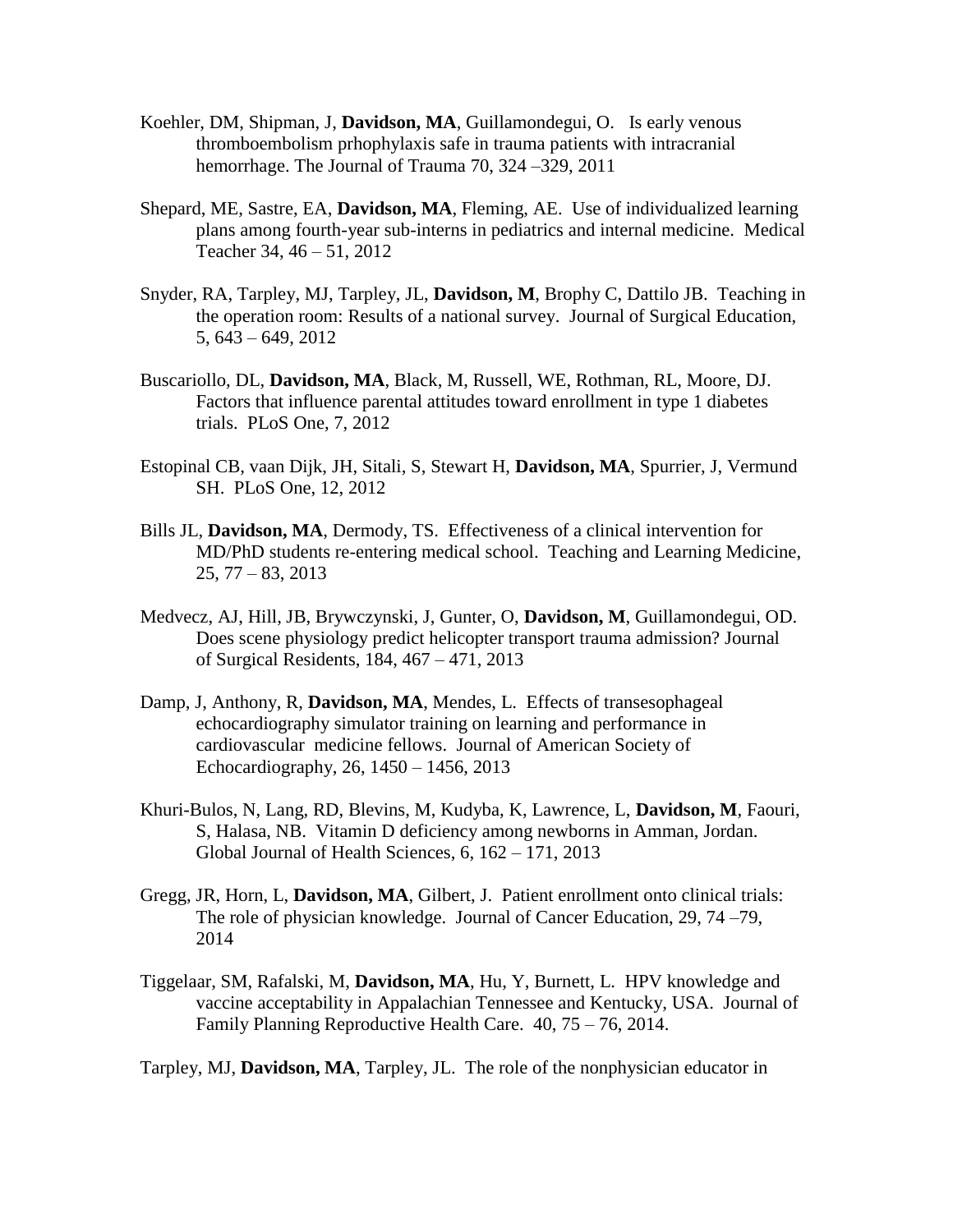- Koehler, DM, Shipman, J, **Davidson, MA**, Guillamondegui, O. Is early venous thromboembolism prhophylaxis safe in trauma patients with intracranial hemorrhage. The Journal of Trauma 70, 324 – 329, 2011
- Shepard, ME, Sastre, EA, **Davidson, MA**, Fleming, AE. Use of individualized learning plans among fourth-year sub-interns in pediatrics and internal medicine. Medical Teacher 34, 46 – 51, 2012
- Snyder, RA, Tarpley, MJ, Tarpley, JL, **Davidson, M**, Brophy C, Dattilo JB. Teaching in the operation room: Results of a national survey. Journal of Surgical Education, 5, 643 – 649, 2012
- Buscariollo, DL, **Davidson, MA**, Black, M, Russell, WE, Rothman, RL, Moore, DJ. Factors that influence parental attitudes toward enrollment in type 1 diabetes trials. PLoS One, 7, 2012
- Estopinal CB, vaan Dijk, JH, Sitali, S, Stewart H, **Davidson, MA**, Spurrier, J, Vermund SH. PLoS One, 12, 2012
- Bills JL, **Davidson, MA**, Dermody, TS. Effectiveness of a clinical intervention for MD/PhD students re-entering medical school. Teaching and Learning Medicine,  $25, 77 - 83, 2013$
- Medvecz, AJ, Hill, JB, Brywczynski, J, Gunter, O, **Davidson, M**, Guillamondegui, OD. Does scene physiology predict helicopter transport trauma admission? Journal of Surgical Residents, 184, 467 – 471, 2013
- Damp, J, Anthony, R, **Davidson, MA**, Mendes, L. Effects of transesophageal echocardiography simulator training on learning and performance in cardiovascular medicine fellows. Journal of American Society of Echocardiography, 26, 1450 – 1456, 2013
- Khuri-Bulos, N, Lang, RD, Blevins, M, Kudyba, K, Lawrence, L, **Davidson, M**, Faouri, S, Halasa, NB. Vitamin D deficiency among newborns in Amman, Jordan. Global Journal of Health Sciences, 6, 162 – 171, 2013
- Gregg, JR, Horn, L, **Davidson, MA**, Gilbert, J. Patient enrollment onto clinical trials: The role of physician knowledge. Journal of Cancer Education, 29, 74 –79, 2014
- Tiggelaar, SM, Rafalski, M, **Davidson, MA**, Hu, Y, Burnett, L. HPV knowledge and vaccine acceptability in Appalachian Tennessee and Kentucky, USA. Journal of Family Planning Reproductive Health Care. 40, 75 – 76, 2014.

Tarpley, MJ, **Davidson, MA**, Tarpley, JL. The role of the nonphysician educator in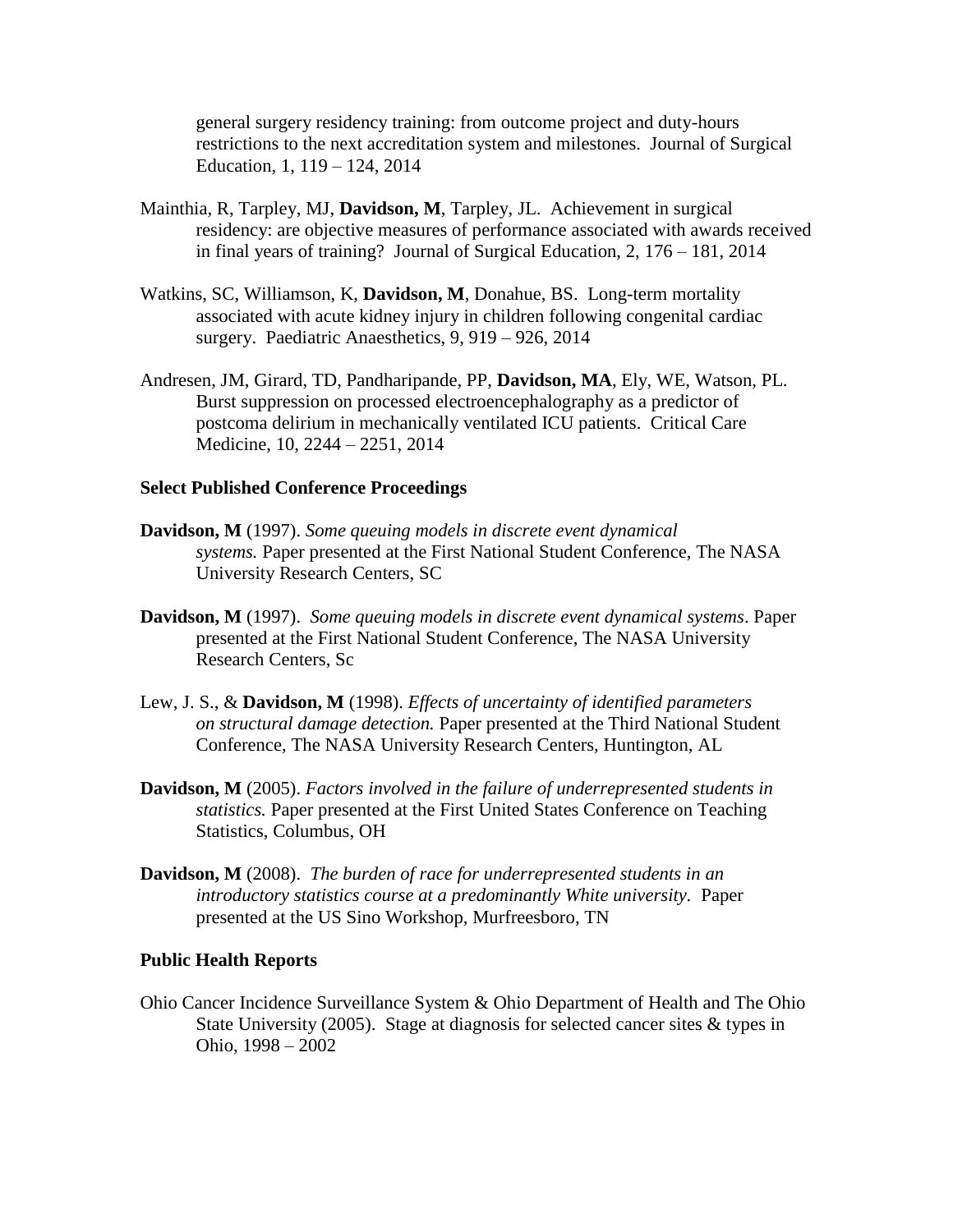general surgery residency training: from outcome project and duty-hours restrictions to the next accreditation system and milestones. Journal of Surgical Education, 1, 119 – 124, 2014

- Mainthia, R, Tarpley, MJ, **Davidson, M**, Tarpley, JL. Achievement in surgical residency: are objective measures of performance associated with awards received in final years of training? Journal of Surgical Education, 2, 176 – 181, 2014
- Watkins, SC, Williamson, K, **Davidson, M**, Donahue, BS. Long-term mortality associated with acute kidney injury in children following congenital cardiac surgery. Paediatric Anaesthetics, 9, 919 – 926, 2014
- Andresen, JM, Girard, TD, Pandharipande, PP, **Davidson, MA**, Ely, WE, Watson, PL. Burst suppression on processed electroencephalography as a predictor of postcoma delirium in mechanically ventilated ICU patients. Critical Care Medicine, 10, 2244 – 2251, 2014

#### **Select Published Conference Proceedings**

- **Davidson, M** (1997). *Some queuing models in discrete event dynamical systems.* Paper presented at the First National Student Conference, The NASA University Research Centers, SC
- **Davidson, M** (1997). *Some queuing models in discrete event dynamical systems*. Paper presented at the First National Student Conference, The NASA University Research Centers, Sc
- Lew, J. S., & **Davidson, M** (1998). *Effects of uncertainty of identified parameters on structural damage detection.* Paper presented at the Third National Student Conference, The NASA University Research Centers, Huntington, AL
- **Davidson, M** (2005). *Factors involved in the failure of underrepresented students in statistics.* Paper presented at the First United States Conference on Teaching Statistics, Columbus, OH
- **Davidson, M** (2008). *The burden of race for underrepresented students in an introductory statistics course at a predominantly White university.* Paper presented at the US Sino Workshop, Murfreesboro, TN

#### **Public Health Reports**

Ohio Cancer Incidence Surveillance System & Ohio Department of Health and The Ohio State University (2005). Stage at diagnosis for selected cancer sites & types in Ohio, 1998 – 2002